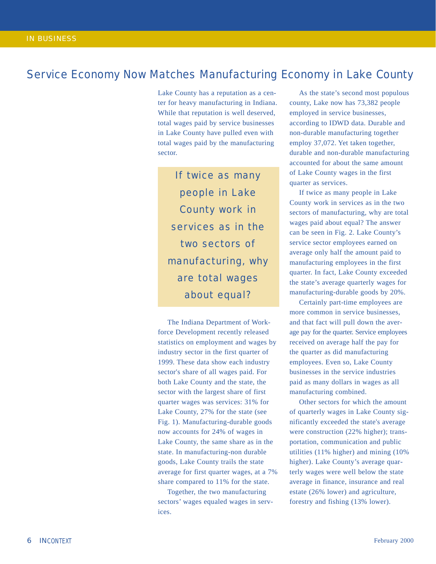## Service Economy Now Matches Manufacturing Economy in Lake County

Lake County has a reputation as a center for heavy manufacturing in Indiana. While that reputation is well deserved, total wages paid by service businesses in Lake County have pulled even with total wages paid by the manufacturing sector.

If twice as many people in Lake County work in services as in the two sectors of manufacturing, why are total wages about equal?

The Indiana Department of Workforce Development recently released statistics on employment and wages by industry sector in the first quarter of 1999. These data show each industry sector's share of all wages paid. For both Lake County and the state, the sector with the largest share of first quarter wages was services: 31% for Lake County, 27% for the state (see Fig. 1). Manufacturing-durable goods now accounts for 24% of wages in Lake County, the same share as in the state. In manufacturing-non durable goods, Lake County trails the state average for first quarter wages, at a 7% share compared to 11% for the state.

Together, the two manufacturing sectors' wages equaled wages in services.

As the state's second most populous county, Lake now has 73,382 people employed in service businesses, according to IDWD data. Durable and non-durable manufacturing together employ 37,072. Yet taken together, durable and non-durable manufacturing accounted for about the same amount of Lake County wages in the first quarter as services.

If twice as many people in Lake County work in services as in the two sectors of manufacturing, why are total wages paid about equal? The answer can be seen in Fig. 2. Lake County's service sector employees earned on average only half the amount paid to manufacturing employees in the first quarter. In fact, Lake County exceeded the state's average quarterly wages for manufacturing-durable goods by 20%.

Certainly part-time employees are more common in service businesses, and that fact will pull down the average pay for the quarter. Service employees received on average half the pay for the quarter as did manufacturing employees. Even so, Lake County businesses in the service industries paid as many dollars in wages as all manufacturing combined.

Other sectors for which the amount of quarterly wages in Lake County significantly exceeded the state's average were construction (22% higher); transportation, communication and public utilities (11% higher) and mining (10% higher). Lake County's average quarterly wages were well below the state average in finance, insurance and real estate (26% lower) and agriculture, forestry and fishing (13% lower).